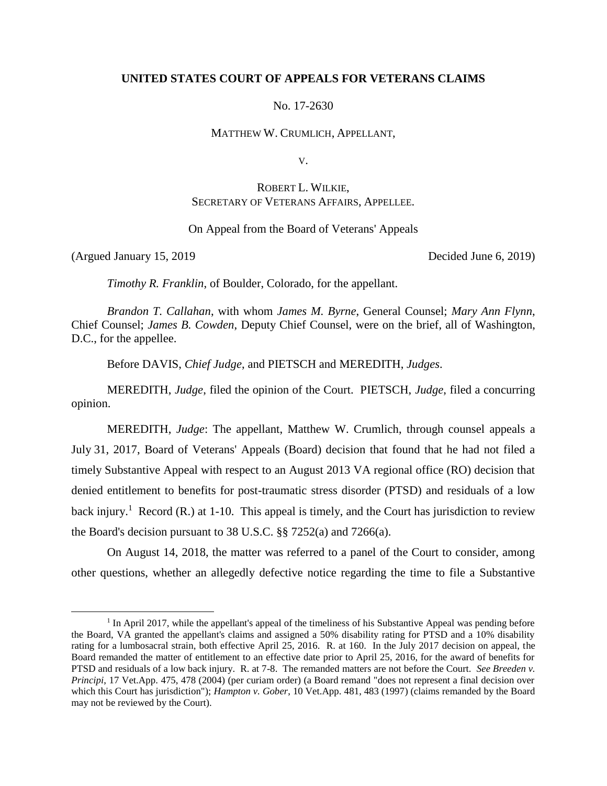## **UNITED STATES COURT OF APPEALS FOR VETERANS CLAIMS**

No. 17-2630

MATTHEW W. CRUMLICH, APPELLANT,

V.

# ROBERT L. WILKIE, SECRETARY OF VETERANS AFFAIRS, APPELLEE.

On Appeal from the Board of Veterans' Appeals

(Argued January 15, 2019 Decided June 6, 2019)

 $\overline{a}$ 

*Timothy R. Franklin*, of Boulder, Colorado, for the appellant.

*Brandon T. Callahan*, with whom *James M. Byrne*, General Counsel; *Mary Ann Flynn*, Chief Counsel; *James B. Cowden*, Deputy Chief Counsel, were on the brief, all of Washington, D.C., for the appellee.

Before DAVIS, *Chief Judge*, and PIETSCH and MEREDITH, *Judges*.

MEREDITH, *Judge*, filed the opinion of the Court. PIETSCH, *Judge*, filed a concurring opinion.

MEREDITH, *Judge*: The appellant, Matthew W. Crumlich, through counsel appeals a July 31, 2017, Board of Veterans' Appeals (Board) decision that found that he had not filed a timely Substantive Appeal with respect to an August 2013 VA regional office (RO) decision that denied entitlement to benefits for post-traumatic stress disorder (PTSD) and residuals of a low back injury.<sup>1</sup> Record (R.) at 1-10. This appeal is timely, and the Court has jurisdiction to review the Board's decision pursuant to 38 U.S.C. §§ 7252(a) and 7266(a).

On August 14, 2018, the matter was referred to a panel of the Court to consider, among other questions, whether an allegedly defective notice regarding the time to file a Substantive

<sup>&</sup>lt;sup>1</sup> In April 2017, while the appellant's appeal of the timeliness of his Substantive Appeal was pending before the Board, VA granted the appellant's claims and assigned a 50% disability rating for PTSD and a 10% disability rating for a lumbosacral strain, both effective April 25, 2016. R. at 160. In the July 2017 decision on appeal, the Board remanded the matter of entitlement to an effective date prior to April 25, 2016, for the award of benefits for PTSD and residuals of a low back injury. R. at 7-8. The remanded matters are not before the Court. *See Breeden v. Principi*, 17 Vet.App. 475, 478 (2004) (per curiam order) (a Board remand "does not represent a final decision over which this Court has jurisdiction"); *Hampton v. Gober*, 10 Vet.App. 481, 483 (1997) (claims remanded by the Board may not be reviewed by the Court).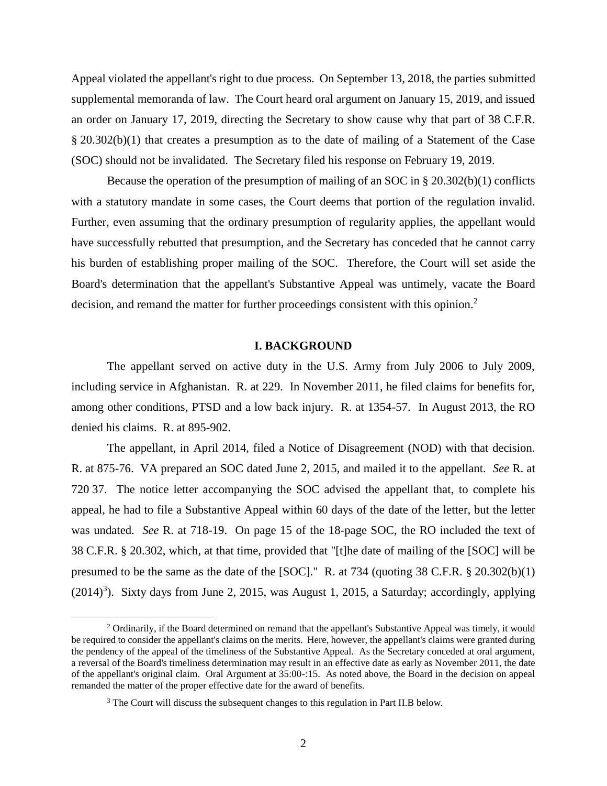Appeal violated the appellant's right to due process. On September 13, 2018, the parties submitted supplemental memoranda of law. The Court heard oral argument on January 15, 2019, and issued an order on January 17, 2019, directing the Secretary to show cause why that part of 38 C.F.R. § 20.302(b)(1) that creates a presumption as to the date of mailing of a Statement of the Case (SOC) should not be invalidated. The Secretary filed his response on February 19, 2019.

Because the operation of the presumption of mailing of an SOC in  $\S 20.302(b)(1)$  conflicts with a statutory mandate in some cases, the Court deems that portion of the regulation invalid. Further, even assuming that the ordinary presumption of regularity applies, the appellant would have successfully rebutted that presumption, and the Secretary has conceded that he cannot carry his burden of establishing proper mailing of the SOC. Therefore, the Court will set aside the Board's determination that the appellant's Substantive Appeal was untimely, vacate the Board decision, and remand the matter for further proceedings consistent with this opinion.<sup>2</sup>

### **I. BACKGROUND**

The appellant served on active duty in the U.S. Army from July 2006 to July 2009, including service in Afghanistan. R. at 229. In November 2011, he filed claims for benefits for, among other conditions, PTSD and a low back injury. R. at 1354-57. In August 2013, the RO denied his claims. R. at 895-902.

The appellant, in April 2014, filed a Notice of Disagreement (NOD) with that decision. R. at 875-76. VA prepared an SOC dated June 2, 2015, and mailed it to the appellant. *See* R. at 720 37. The notice letter accompanying the SOC advised the appellant that, to complete his appeal, he had to file a Substantive Appeal within 60 days of the date of the letter, but the letter was undated. *See* R. at 718-19. On page 15 of the 18-page SOC, the RO included the text of 38 C.F.R. § 20.302, which, at that time, provided that "[t]he date of mailing of the [SOC] will be presumed to be the same as the date of the [SOC]." R. at 734 (quoting 38 C.F.R. § 20.302(b)(1)  $(2014)^3$ ). Sixty days from June 2, 2015, was August 1, 2015, a Saturday; accordingly, applying

 $\overline{a}$ 

<sup>&</sup>lt;sup>2</sup> Ordinarily, if the Board determined on remand that the appellant's Substantive Appeal was timely, it would be required to consider the appellant's claims on the merits. Here, however, the appellant's claims were granted during the pendency of the appeal of the timeliness of the Substantive Appeal. As the Secretary conceded at oral argument, a reversal of the Board's timeliness determination may result in an effective date as early as November 2011, the date of the appellant's original claim. Oral Argument at 35:00-:15. As noted above, the Board in the decision on appeal remanded the matter of the proper effective date for the award of benefits.

<sup>&</sup>lt;sup>3</sup> The Court will discuss the subsequent changes to this regulation in Part II.B below.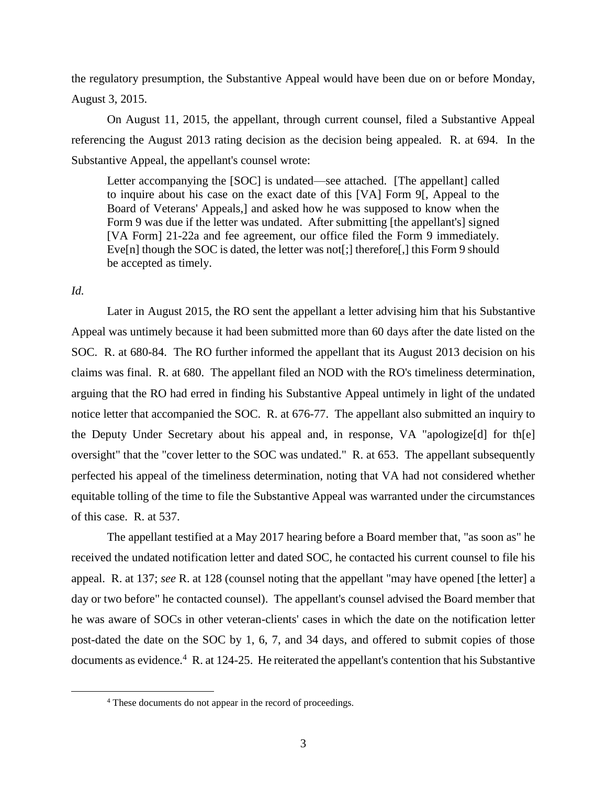the regulatory presumption, the Substantive Appeal would have been due on or before Monday, August 3, 2015.

On August 11, 2015, the appellant, through current counsel, filed a Substantive Appeal referencing the August 2013 rating decision as the decision being appealed. R. at 694. In the Substantive Appeal, the appellant's counsel wrote:

Letter accompanying the [SOC] is undated—see attached. [The appellant] called to inquire about his case on the exact date of this [VA] Form 9[, Appeal to the Board of Veterans' Appeals,] and asked how he was supposed to know when the Form 9 was due if the letter was undated. After submitting [the appellant's] signed [VA Form] 21-22a and fee agreement, our office filed the Form 9 immediately. Eve[n] though the SOC is dated, the letter was not[;] therefore[,] this Form 9 should be accepted as timely.

*Id.*

 $\overline{a}$ 

Later in August 2015, the RO sent the appellant a letter advising him that his Substantive Appeal was untimely because it had been submitted more than 60 days after the date listed on the SOC. R. at 680-84. The RO further informed the appellant that its August 2013 decision on his claims was final. R. at 680. The appellant filed an NOD with the RO's timeliness determination, arguing that the RO had erred in finding his Substantive Appeal untimely in light of the undated notice letter that accompanied the SOC. R. at 676-77. The appellant also submitted an inquiry to the Deputy Under Secretary about his appeal and, in response, VA "apologize[d] for th[e] oversight" that the "cover letter to the SOC was undated." R. at 653. The appellant subsequently perfected his appeal of the timeliness determination, noting that VA had not considered whether equitable tolling of the time to file the Substantive Appeal was warranted under the circumstances of this case. R. at 537.

The appellant testified at a May 2017 hearing before a Board member that, "as soon as" he received the undated notification letter and dated SOC, he contacted his current counsel to file his appeal. R. at 137; *see* R. at 128 (counsel noting that the appellant "may have opened [the letter] a day or two before" he contacted counsel). The appellant's counsel advised the Board member that he was aware of SOCs in other veteran-clients' cases in which the date on the notification letter post-dated the date on the SOC by 1, 6, 7, and 34 days, and offered to submit copies of those documents as evidence.<sup>4</sup> R. at 124-25. He reiterated the appellant's contention that his Substantive

<sup>4</sup> These documents do not appear in the record of proceedings.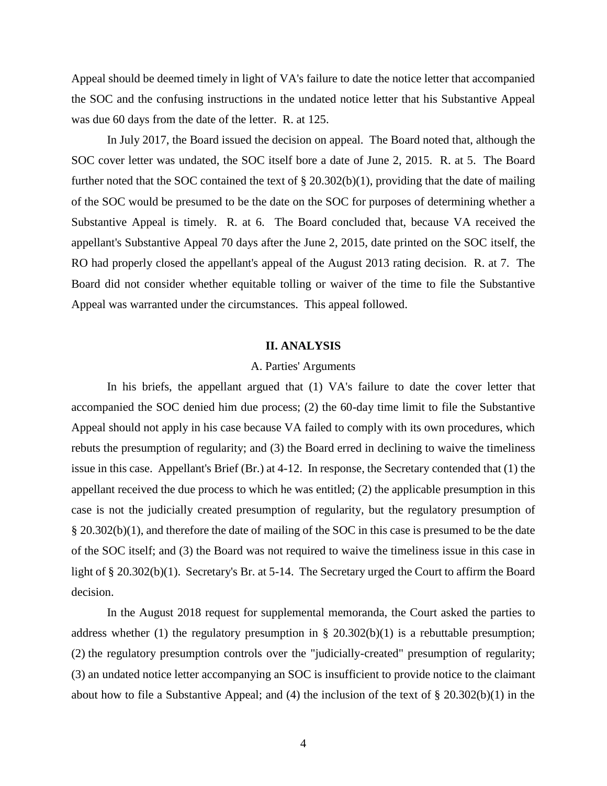Appeal should be deemed timely in light of VA's failure to date the notice letter that accompanied the SOC and the confusing instructions in the undated notice letter that his Substantive Appeal was due 60 days from the date of the letter. R. at 125.

In July 2017, the Board issued the decision on appeal. The Board noted that, although the SOC cover letter was undated, the SOC itself bore a date of June 2, 2015. R. at 5. The Board further noted that the SOC contained the text of § 20.302(b)(1), providing that the date of mailing of the SOC would be presumed to be the date on the SOC for purposes of determining whether a Substantive Appeal is timely. R. at 6. The Board concluded that, because VA received the appellant's Substantive Appeal 70 days after the June 2, 2015, date printed on the SOC itself, the RO had properly closed the appellant's appeal of the August 2013 rating decision. R. at 7. The Board did not consider whether equitable tolling or waiver of the time to file the Substantive Appeal was warranted under the circumstances. This appeal followed.

### **II. ANALYSIS**

## A. Parties' Arguments

In his briefs, the appellant argued that (1) VA's failure to date the cover letter that accompanied the SOC denied him due process; (2) the 60-day time limit to file the Substantive Appeal should not apply in his case because VA failed to comply with its own procedures, which rebuts the presumption of regularity; and (3) the Board erred in declining to waive the timeliness issue in this case. Appellant's Brief (Br.) at 4-12. In response, the Secretary contended that (1) the appellant received the due process to which he was entitled; (2) the applicable presumption in this case is not the judicially created presumption of regularity, but the regulatory presumption of § 20.302(b)(1), and therefore the date of mailing of the SOC in this case is presumed to be the date of the SOC itself; and (3) the Board was not required to waive the timeliness issue in this case in light of § 20.302(b)(1). Secretary's Br. at 5-14. The Secretary urged the Court to affirm the Board decision.

In the August 2018 request for supplemental memoranda, the Court asked the parties to address whether (1) the regulatory presumption in  $\S$  20.302(b)(1) is a rebuttable presumption; (2) the regulatory presumption controls over the "judicially-created" presumption of regularity; (3) an undated notice letter accompanying an SOC is insufficient to provide notice to the claimant about how to file a Substantive Appeal; and (4) the inclusion of the text of § 20.302(b)(1) in the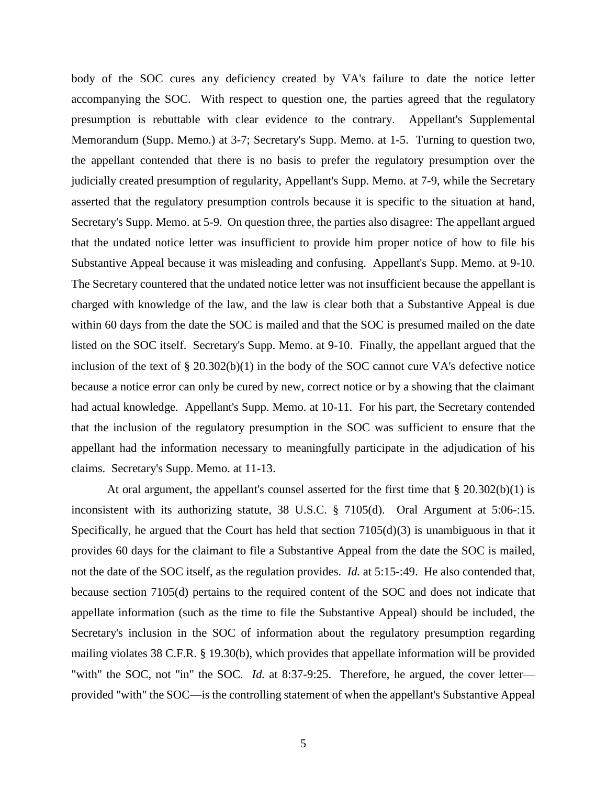body of the SOC cures any deficiency created by VA's failure to date the notice letter accompanying the SOC. With respect to question one, the parties agreed that the regulatory presumption is rebuttable with clear evidence to the contrary. Appellant's Supplemental Memorandum (Supp. Memo.) at 3-7; Secretary's Supp. Memo. at 1-5. Turning to question two, the appellant contended that there is no basis to prefer the regulatory presumption over the judicially created presumption of regularity, Appellant's Supp. Memo. at 7-9, while the Secretary asserted that the regulatory presumption controls because it is specific to the situation at hand, Secretary's Supp. Memo. at 5-9. On question three, the parties also disagree: The appellant argued that the undated notice letter was insufficient to provide him proper notice of how to file his Substantive Appeal because it was misleading and confusing. Appellant's Supp. Memo. at 9-10. The Secretary countered that the undated notice letter was not insufficient because the appellant is charged with knowledge of the law, and the law is clear both that a Substantive Appeal is due within 60 days from the date the SOC is mailed and that the SOC is presumed mailed on the date listed on the SOC itself. Secretary's Supp. Memo. at 9-10. Finally, the appellant argued that the inclusion of the text of § 20.302(b)(1) in the body of the SOC cannot cure VA's defective notice because a notice error can only be cured by new, correct notice or by a showing that the claimant had actual knowledge. Appellant's Supp. Memo. at 10-11. For his part, the Secretary contended that the inclusion of the regulatory presumption in the SOC was sufficient to ensure that the appellant had the information necessary to meaningfully participate in the adjudication of his claims. Secretary's Supp. Memo. at 11-13.

At oral argument, the appellant's counsel asserted for the first time that  $\S 20.302(b)(1)$  is inconsistent with its authorizing statute, 38 U.S.C. § 7105(d). Oral Argument at 5:06-:15. Specifically, he argued that the Court has held that section 7105(d)(3) is unambiguous in that it provides 60 days for the claimant to file a Substantive Appeal from the date the SOC is mailed, not the date of the SOC itself, as the regulation provides. *Id.* at 5:15-:49. He also contended that, because section 7105(d) pertains to the required content of the SOC and does not indicate that appellate information (such as the time to file the Substantive Appeal) should be included, the Secretary's inclusion in the SOC of information about the regulatory presumption regarding mailing violates 38 C.F.R. § 19.30(b), which provides that appellate information will be provided "with" the SOC, not "in" the SOC. *Id.* at 8:37-9:25. Therefore, he argued, the cover letter provided "with" the SOC—is the controlling statement of when the appellant's Substantive Appeal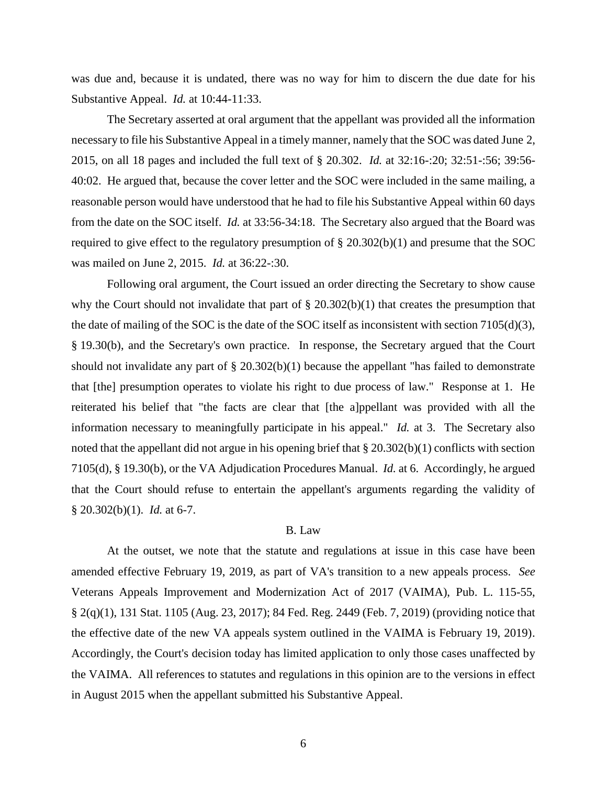was due and, because it is undated, there was no way for him to discern the due date for his Substantive Appeal. *Id.* at 10:44-11:33.

The Secretary asserted at oral argument that the appellant was provided all the information necessary to file his Substantive Appeal in a timely manner, namely that the SOC was dated June 2, 2015, on all 18 pages and included the full text of § 20.302. *Id.* at 32:16-:20; 32:51-:56; 39:56- 40:02. He argued that, because the cover letter and the SOC were included in the same mailing, a reasonable person would have understood that he had to file his Substantive Appeal within 60 days from the date on the SOC itself. *Id.* at 33:56-34:18. The Secretary also argued that the Board was required to give effect to the regulatory presumption of § 20.302(b)(1) and presume that the SOC was mailed on June 2, 2015. *Id.* at 36:22-:30.

Following oral argument, the Court issued an order directing the Secretary to show cause why the Court should not invalidate that part of  $\S 20.302(b)(1)$  that creates the presumption that the date of mailing of the SOC is the date of the SOC itself as inconsistent with section 7105(d)(3), § 19.30(b), and the Secretary's own practice. In response, the Secretary argued that the Court should not invalidate any part of  $\S 20.302(b)(1)$  because the appellant "has failed to demonstrate that [the] presumption operates to violate his right to due process of law." Response at 1. He reiterated his belief that "the facts are clear that [the a]ppellant was provided with all the information necessary to meaningfully participate in his appeal." *Id.* at 3. The Secretary also noted that the appellant did not argue in his opening brief that § 20.302(b)(1) conflicts with section 7105(d), § 19.30(b), or the VA Adjudication Procedures Manual. *Id.* at 6. Accordingly, he argued that the Court should refuse to entertain the appellant's arguments regarding the validity of § 20.302(b)(1). *Id.* at 6-7.

# B. Law

At the outset, we note that the statute and regulations at issue in this case have been amended effective February 19, 2019, as part of VA's transition to a new appeals process. *See* Veterans Appeals Improvement and Modernization Act of 2017 (VAIMA), Pub. L. 115-55, § 2(q)(1), 131 Stat. 1105 (Aug. 23, 2017); 84 Fed. Reg. 2449 (Feb. 7, 2019) (providing notice that the effective date of the new VA appeals system outlined in the VAIMA is February 19, 2019). Accordingly, the Court's decision today has limited application to only those cases unaffected by the VAIMA. All references to statutes and regulations in this opinion are to the versions in effect in August 2015 when the appellant submitted his Substantive Appeal.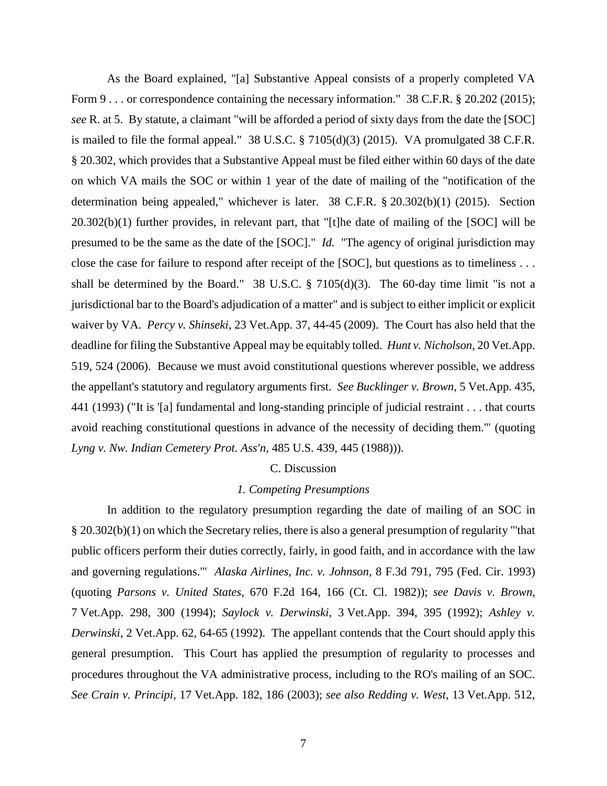As the Board explained, "[a] Substantive Appeal consists of a properly completed VA Form 9 . . . or correspondence containing the necessary information." 38 C.F.R. § 20.202 (2015); *see* R. at 5. By statute, a claimant "will be afforded a period of sixty days from the date the [SOC] is mailed to file the formal appeal." 38 U.S.C. § 7105(d)(3) (2015). VA promulgated 38 C.F.R. § 20.302, which provides that a Substantive Appeal must be filed either within 60 days of the date on which VA mails the SOC or within 1 year of the date of mailing of the "notification of the determination being appealed," whichever is later. 38 C.F.R. § 20.302(b)(1) (2015). Section 20.302(b)(1) further provides, in relevant part, that "[t]he date of mailing of the [SOC] will be presumed to be the same as the date of the [SOC]." *Id.* "The agency of original jurisdiction may close the case for failure to respond after receipt of the [SOC], but questions as to timeliness . . . shall be determined by the Board." 38 U.S.C.  $\S$  7105(d)(3). The 60-day time limit "is not a jurisdictional bar to the Board's adjudication of a matter" and is subject to either implicit or explicit waiver by VA. *Percy v. Shinseki*, 23 Vet.App. 37, 44-45 (2009). The Court has also held that the deadline for filing the Substantive Appeal may be equitably tolled. *Hunt v. Nicholson*, 20 Vet.App. 519, 524 (2006). Because we must avoid constitutional questions wherever possible, we address the appellant's statutory and regulatory arguments first. *See Bucklinger v. Brown*, 5 Vet.App. 435, 441 (1993) ("It is '[a] fundamental and long-standing principle of judicial restraint . . . that courts avoid reaching constitutional questions in advance of the necessity of deciding them.'" (quoting *Lyng v. Nw. Indian Cemetery Prot. Ass'n*, 485 U.S. 439, 445 (1988))).

#### C. Discussion

## *1. Competing Presumptions*

In addition to the regulatory presumption regarding the date of mailing of an SOC in § 20.302(b)(1) on which the Secretary relies, there is also a general presumption of regularity "'that public officers perform their duties correctly, fairly, in good faith, and in accordance with the law and governing regulations.'" *Alaska Airlines, Inc. v. Johnson*, 8 F.3d 791, 795 (Fed. Cir. 1993) (quoting *Parsons v. United States*, 670 F.2d 164, 166 (Ct. Cl. 1982)); *see Davis v. Brown*, 7 Vet.App. 298, 300 (1994); *Saylock v. Derwinski*, 3 Vet.App. 394, 395 (1992); *Ashley v. Derwinski*, 2 Vet.App. 62, 64-65 (1992). The appellant contends that the Court should apply this general presumption. This Court has applied the presumption of regularity to processes and procedures throughout the VA administrative process, including to the RO's mailing of an SOC. *See Crain v. Principi*, 17 Vet.App. 182, 186 (2003); *see also Redding v. West*, 13 Vet.App. 512,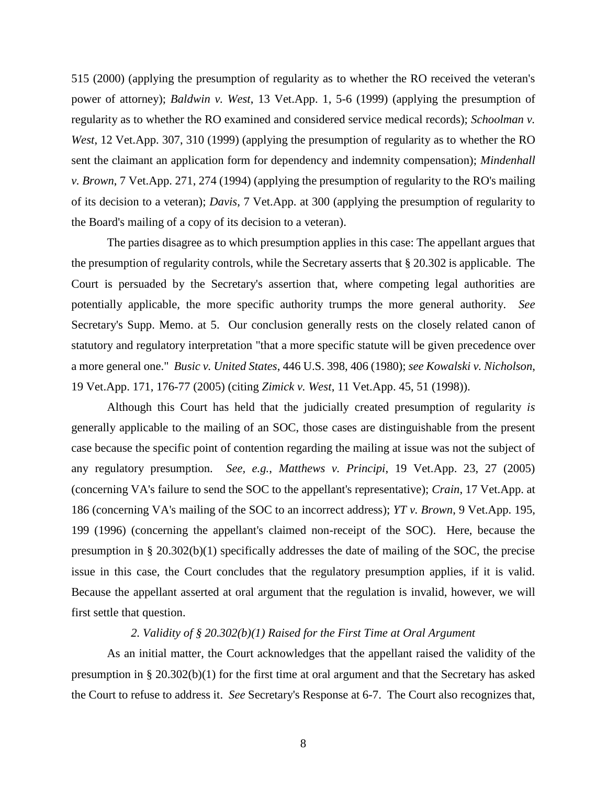515 (2000) (applying the presumption of regularity as to whether the RO received the veteran's power of attorney); *Baldwin v. West*, 13 Vet.App. 1, 5-6 (1999) (applying the presumption of regularity as to whether the RO examined and considered service medical records); *Schoolman v. West*, 12 Vet.App. 307, 310 (1999) (applying the presumption of regularity as to whether the RO sent the claimant an application form for dependency and indemnity compensation); *Mindenhall v. Brown*, 7 Vet.App. 271, 274 (1994) (applying the presumption of regularity to the RO's mailing of its decision to a veteran); *Davis*, 7 Vet.App. at 300 (applying the presumption of regularity to the Board's mailing of a copy of its decision to a veteran).

The parties disagree as to which presumption applies in this case: The appellant argues that the presumption of regularity controls, while the Secretary asserts that § 20.302 is applicable. The Court is persuaded by the Secretary's assertion that, where competing legal authorities are potentially applicable, the more specific authority trumps the more general authority. *See* Secretary's Supp. Memo. at 5. Our conclusion generally rests on the closely related canon of statutory and regulatory interpretation "that a more specific statute will be given precedence over a more general one." *Busic v. United States*, 446 U.S. 398, 406 (1980); *see Kowalski v. Nicholson*, 19 Vet.App. 171, 176-77 (2005) (citing *Zimick v. West*, 11 Vet.App. 45, 51 (1998)).

Although this Court has held that the judicially created presumption of regularity *is* generally applicable to the mailing of an SOC, those cases are distinguishable from the present case because the specific point of contention regarding the mailing at issue was not the subject of any regulatory presumption. *See, e.g.*, *Matthews v. Principi*, 19 Vet.App. 23, 27 (2005) (concerning VA's failure to send the SOC to the appellant's representative); *Crain*, 17 Vet.App. at 186 (concerning VA's mailing of the SOC to an incorrect address); *YT v. Brown*, 9 Vet.App. 195, 199 (1996) (concerning the appellant's claimed non-receipt of the SOC). Here, because the presumption in § 20.302(b)(1) specifically addresses the date of mailing of the SOC, the precise issue in this case, the Court concludes that the regulatory presumption applies, if it is valid. Because the appellant asserted at oral argument that the regulation is invalid, however, we will first settle that question.

# *2. Validity of § 20.302(b)(1) Raised for the First Time at Oral Argument*

As an initial matter, the Court acknowledges that the appellant raised the validity of the presumption in § 20.302(b)(1) for the first time at oral argument and that the Secretary has asked the Court to refuse to address it. *See* Secretary's Response at 6-7. The Court also recognizes that,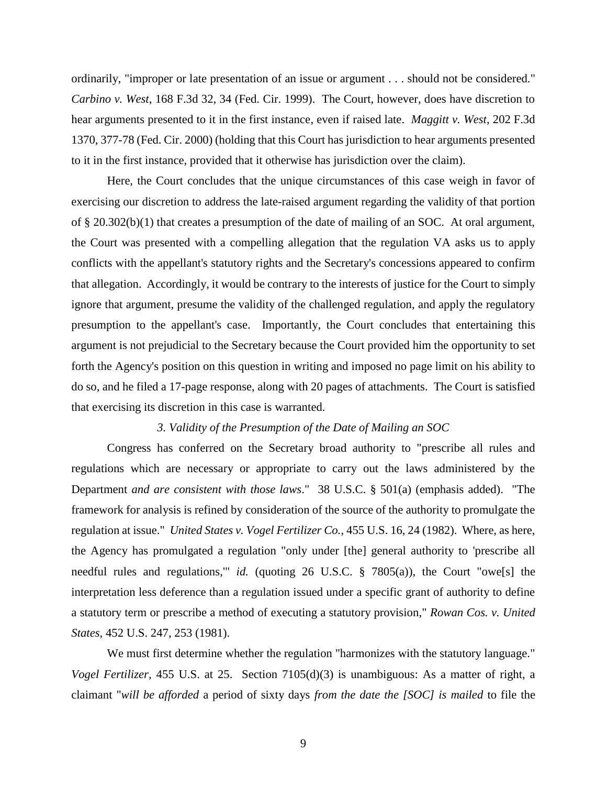ordinarily, "improper or late presentation of an issue or argument . . . should not be considered." *Carbino v. West*, 168 F.3d 32, 34 (Fed. Cir. 1999). The Court, however, does have discretion to hear arguments presented to it in the first instance, even if raised late. *Maggitt v. West*, 202 F.3d 1370, 377-78 (Fed. Cir. 2000) (holding that this Court has jurisdiction to hear arguments presented to it in the first instance, provided that it otherwise has jurisdiction over the claim).

Here, the Court concludes that the unique circumstances of this case weigh in favor of exercising our discretion to address the late-raised argument regarding the validity of that portion of § 20.302(b)(1) that creates a presumption of the date of mailing of an SOC. At oral argument, the Court was presented with a compelling allegation that the regulation VA asks us to apply conflicts with the appellant's statutory rights and the Secretary's concessions appeared to confirm that allegation. Accordingly, it would be contrary to the interests of justice for the Court to simply ignore that argument, presume the validity of the challenged regulation, and apply the regulatory presumption to the appellant's case. Importantly, the Court concludes that entertaining this argument is not prejudicial to the Secretary because the Court provided him the opportunity to set forth the Agency's position on this question in writing and imposed no page limit on his ability to do so, and he filed a 17-page response, along with 20 pages of attachments. The Court is satisfied that exercising its discretion in this case is warranted.

### *3. Validity of the Presumption of the Date of Mailing an SOC*

Congress has conferred on the Secretary broad authority to "prescribe all rules and regulations which are necessary or appropriate to carry out the laws administered by the Department *and are consistent with those laws*." 38 U.S.C. § 501(a) (emphasis added). "The framework for analysis is refined by consideration of the source of the authority to promulgate the regulation at issue." *United States v. Vogel Fertilizer Co.*, 455 U.S. 16, 24 (1982). Where, as here, the Agency has promulgated a regulation "only under [the] general authority to 'prescribe all needful rules and regulations,'" *id.* (quoting 26 U.S.C. § 7805(a)), the Court "owe[s] the interpretation less deference than a regulation issued under a specific grant of authority to define a statutory term or prescribe a method of executing a statutory provision," *Rowan Cos. v. United States*, 452 U.S. 247, 253 (1981).

We must first determine whether the regulation "harmonizes with the statutory language." *Vogel Fertilizer*, 455 U.S. at 25. Section 7105(d)(3) is unambiguous: As a matter of right, a claimant "*will be afforded* a period of sixty days *from the date the [SOC] is mailed* to file the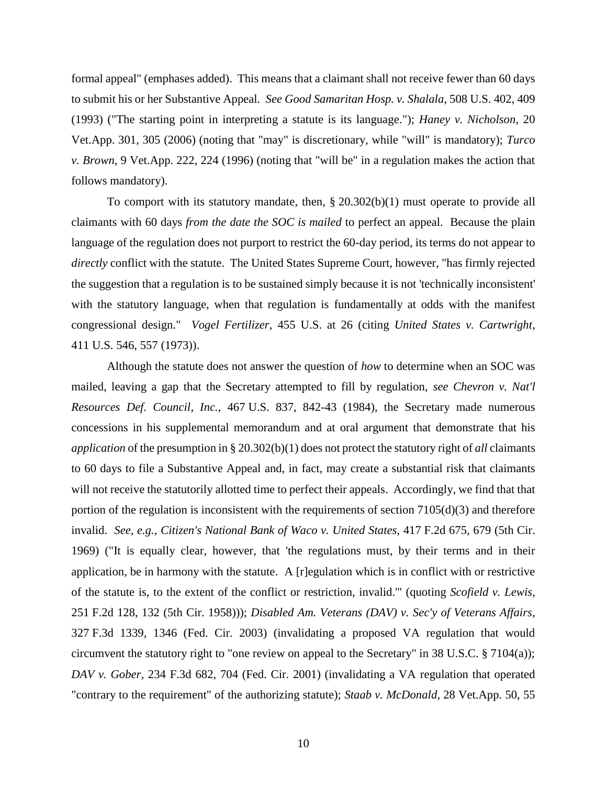formal appeal" (emphases added). This means that a claimant shall not receive fewer than 60 days to submit his or her Substantive Appeal*. See Good Samaritan Hosp. v. Shalala*, 508 U.S. 402, 409 (1993) ("The starting point in interpreting a statute is its language."); *Haney v. Nicholson*, 20 Vet.App. 301, 305 (2006) (noting that "may" is discretionary, while "will" is mandatory); *Turco v. Brown*, 9 Vet.App. 222, 224 (1996) (noting that "will be" in a regulation makes the action that follows mandatory).

To comport with its statutory mandate, then, § 20.302(b)(1) must operate to provide all claimants with 60 days *from the date the SOC is mailed* to perfect an appeal. Because the plain language of the regulation does not purport to restrict the 60-day period, its terms do not appear to *directly* conflict with the statute. The United States Supreme Court, however, "has firmly rejected the suggestion that a regulation is to be sustained simply because it is not 'technically inconsistent' with the statutory language, when that regulation is fundamentally at odds with the manifest congressional design." *Vogel Fertilizer*, 455 U.S. at 26 (citing *[United States v. Cartwright](https://1.next.westlaw.com/Link/Document/FullText?findType=Y&serNum=1973126382&pubNum=708&originatingDoc=Ic1d3b7979c1e11d991d0cc6b54f12d4d&refType=RP&fi=co_pp_sp_708_1719&originationContext=document&transitionType=DocumentItem&contextData=(sc.DocLink)#co_pp_sp_708_1719)*, 411 [U.S. 5](https://1.next.westlaw.com/Link/Document/FullText?findType=Y&serNum=1973126382&pubNum=708&originatingDoc=Ic1d3b7979c1e11d991d0cc6b54f12d4d&refType=RP&fi=co_pp_sp_708_1719&originationContext=document&transitionType=DocumentItem&contextData=(sc.DocLink)#co_pp_sp_708_1719)46, 557 (1973)).

Although the statute does not answer the question of *how* to determine when an SOC was mailed, leaving a gap that the Secretary attempted to fill by regulation, *see Chevron v. Nat'l Resources Def. Council, Inc.*, 467 U.S. 837, 842-43 (1984), the Secretary made numerous concessions in his supplemental memorandum and at oral argument that demonstrate that his *application* of the presumption in § 20.302(b)(1) does not protect the statutory right of *all* claimants to 60 days to file a Substantive Appeal and, in fact, may create a substantial risk that claimants will not receive the statutorily allotted time to perfect their appeals. Accordingly, we find that that portion of the regulation is inconsistent with the requirements of section  $7105(d)(3)$  and therefore invalid. *See, e.g.*, *Citizen's National Bank of Waco v. United States*, 417 F.2d 675, 679 (5th Cir. 1969) ("It is equally clear, however, that 'the regulations must, by their terms and in their application, be in harmony with the statute. A [r]egulation which is in conflict with or restrictive of the statute is, to the extent of the conflict or restriction, invalid.'" (quoting *Scofield v. Lewis*, 251 F.2d 128, 132 (5th Cir. 1958))); *Disabled Am. Veterans (DAV) v. Sec'y of Veterans Affairs*, 327 F.3d 1339, 1346 (Fed. Cir. 2003) (invalidating a proposed VA regulation that would circumvent the statutory right to "one review on appeal to the Secretary" in 38 U.S.C. § 7104(a)); *DAV v. Gober*, 234 F.3d 682, 704 (Fed. Cir. 2001) (invalidating a VA regulation that operated "contrary to the requirement" of the authorizing statute); *Staab v. McDonald*, 28 Vet.App. 50, 55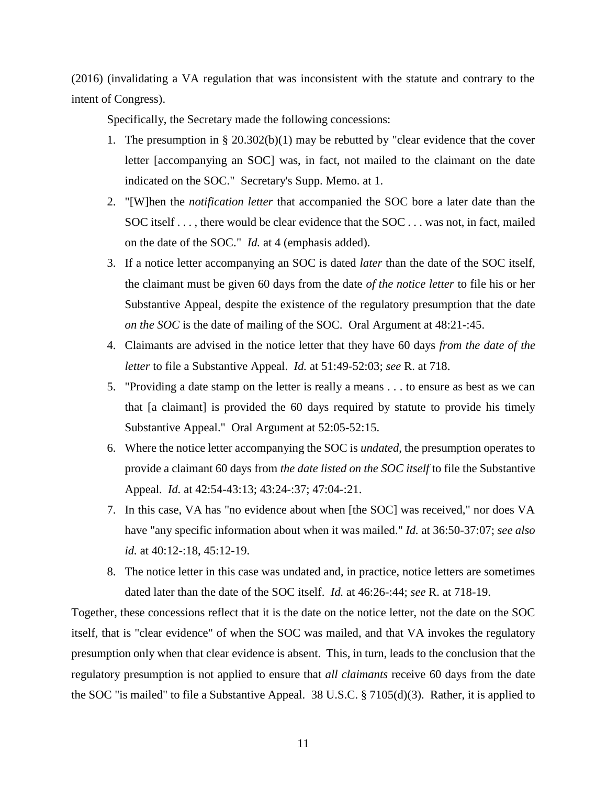(2016) (invalidating a VA regulation that was inconsistent with the statute and contrary to the intent of Congress).

Specifically, the Secretary made the following concessions:

- 1. The presumption in §  $20.302(b)(1)$  may be rebutted by "clear evidence that the cover letter [accompanying an SOC] was, in fact, not mailed to the claimant on the date indicated on the SOC." Secretary's Supp. Memo. at 1.
- 2. "[W]hen the *notification letter* that accompanied the SOC bore a later date than the SOC itself . . . , there would be clear evidence that the SOC . . . was not, in fact, mailed on the date of the SOC." *Id.* at 4 (emphasis added).
- 3. If a notice letter accompanying an SOC is dated *later* than the date of the SOC itself, the claimant must be given 60 days from the date *of the notice letter* to file his or her Substantive Appeal, despite the existence of the regulatory presumption that the date *on the SOC* is the date of mailing of the SOC. Oral Argument at 48:21-:45.
- 4. Claimants are advised in the notice letter that they have 60 days *from the date of the letter* to file a Substantive Appeal. *Id.* at 51:49-52:03; *see* R. at 718.
- 5. "Providing a date stamp on the letter is really a means . . . to ensure as best as we can that [a claimant] is provided the 60 days required by statute to provide his timely Substantive Appeal." Oral Argument at 52:05-52:15.
- 6. Where the notice letter accompanying the SOC is *undated*, the presumption operates to provide a claimant 60 days from *the date listed on the SOC itself* to file the Substantive Appeal. *Id.* at 42:54-43:13; 43:24-:37; 47:04-:21.
- 7. In this case, VA has "no evidence about when [the SOC] was received," nor does VA have "any specific information about when it was mailed." *Id.* at 36:50-37:07; *see also id.* at 40:12-:18, 45:12-19.
- 8. The notice letter in this case was undated and, in practice, notice letters are sometimes dated later than the date of the SOC itself. *Id.* at 46:26-:44; *see* R. at 718-19.

Together, these concessions reflect that it is the date on the notice letter, not the date on the SOC itself, that is "clear evidence" of when the SOC was mailed, and that VA invokes the regulatory presumption only when that clear evidence is absent. This, in turn, leads to the conclusion that the regulatory presumption is not applied to ensure that *all claimants* receive 60 days from the date the SOC "is mailed" to file a Substantive Appeal. 38 U.S.C. § 7105(d)(3). Rather, it is applied to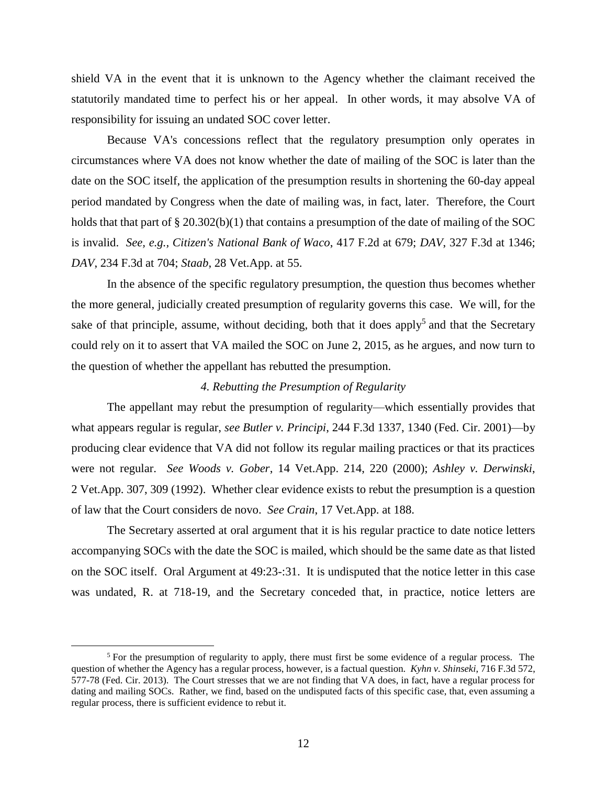shield VA in the event that it is unknown to the Agency whether the claimant received the statutorily mandated time to perfect his or her appeal. In other words, it may absolve VA of responsibility for issuing an undated SOC cover letter.

Because VA's concessions reflect that the regulatory presumption only operates in circumstances where VA does not know whether the date of mailing of the SOC is later than the date on the SOC itself, the application of the presumption results in shortening the 60-day appeal period mandated by Congress when the date of mailing was, in fact, later. Therefore, the Court holds that that part of § 20.302(b)(1) that contains a presumption of the date of mailing of the SOC is invalid. *See, e.g., Citizen's National Bank of Waco*, 417 F.2d at 679; *DAV*, 327 F.3d at 1346; *DAV*, 234 F.3d at 704; *Staab*, 28 Vet.App. at 55.

In the absence of the specific regulatory presumption, the question thus becomes whether the more general, judicially created presumption of regularity governs this case. We will, for the sake of that principle, assume, without deciding, both that it does apply<sup>5</sup> and that the Secretary could rely on it to assert that VA mailed the SOC on June 2, 2015, as he argues, and now turn to the question of whether the appellant has rebutted the presumption.

## *4. Rebutting the Presumption of Regularity*

The appellant may rebut the presumption of regularity—which essentially provides that what appears regular is regular, *see Butler v. Principi*, 244 F.3d 1337, 1340 (Fed. Cir. 2001)—by producing clear evidence that VA did not follow its regular mailing practices or that its practices were not regular. *See Woods v. Gober*, 14 Vet.App. 214, 220 (2000); *Ashley v. Derwinski*, 2 Vet.App. 307, 309 (1992). Whether clear evidence exists to rebut the presumption is a question of law that the Court considers de novo. *See Crain*, 17 Vet.App. at 188.

The Secretary asserted at oral argument that it is his regular practice to date notice letters accompanying SOCs with the date the SOC is mailed, which should be the same date as that listed on the SOC itself. Oral Argument at 49:23-:31. It is undisputed that the notice letter in this case was undated, R. at 718-19, and the Secretary conceded that, in practice, notice letters are

 $\overline{a}$ 

 $<sup>5</sup>$  For the presumption of regularity to apply, there must first be some evidence of a regular process. The</sup> question of whether the Agency has a regular process, however, is a factual question. *Kyhn v. Shinseki*, 716 F.3d 572, 577-78 (Fed. Cir. 2013). The Court stresses that we are not finding that VA does, in fact, have a regular process for dating and mailing SOCs. Rather, we find, based on the undisputed facts of this specific case, that, even assuming a regular process, there is sufficient evidence to rebut it.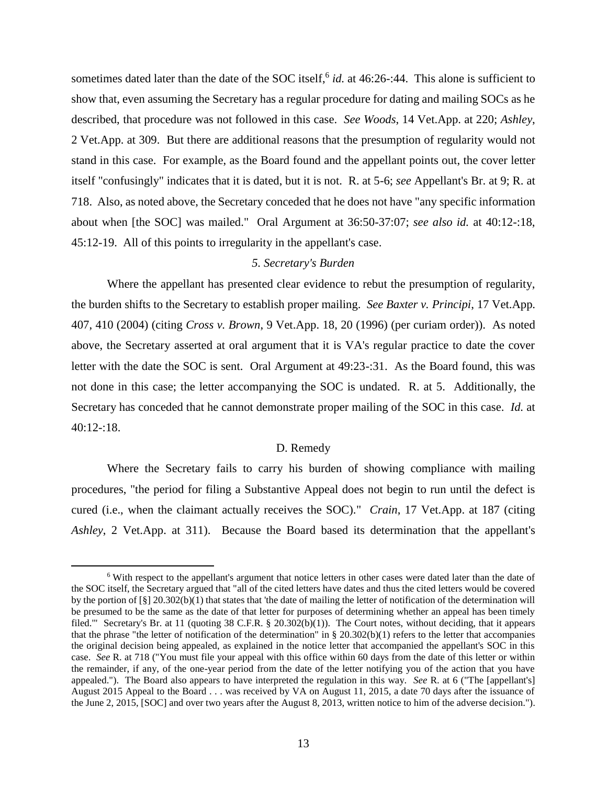sometimes dated later than the date of the SOC itself,<sup>6</sup> id. at 46:26-:44. This alone is sufficient to show that, even assuming the Secretary has a regular procedure for dating and mailing SOCs as he described, that procedure was not followed in this case. *See Woods*, 14 Vet.App. at 220; *Ashley*, 2 Vet.App. at 309. But there are additional reasons that the presumption of regularity would not stand in this case. For example, as the Board found and the appellant points out, the cover letter itself "confusingly" indicates that it is dated, but it is not. R. at 5-6; *see* Appellant's Br. at 9; R. at 718. Also, as noted above, the Secretary conceded that he does not have "any specific information about when [the SOC] was mailed." Oral Argument at 36:50-37:07; *see also id.* at 40:12-:18, 45:12-19. All of this points to irregularity in the appellant's case.

# *5. Secretary's Burden*

Where the appellant has presented clear evidence to rebut the presumption of regularity, the burden shifts to the Secretary to establish proper mailing. *See Baxter v. Principi*, 17 Vet.App. 407, 410 (2004) (citing *Cross v. Brown*, 9 Vet.App. 18, 20 (1996) (per curiam order)). As noted above, the Secretary asserted at oral argument that it is VA's regular practice to date the cover letter with the date the SOC is sent. Oral Argument at 49:23-:31. As the Board found, this was not done in this case; the letter accompanying the SOC is undated. R. at 5. Additionally, the Secretary has conceded that he cannot demonstrate proper mailing of the SOC in this case. *Id.* at  $40:12:18$ .

### D. Remedy

Where the Secretary fails to carry his burden of showing compliance with mailing procedures, "the period for filing a Substantive Appeal does not begin to run until the defect is cured (i.e., when the claimant actually receives the SOC)." *Crain*, 17 Vet.App. at 187 (citing *Ashley*, 2 Vet.App. at 311). Because the Board based its determination that the appellant's

 $\overline{a}$ 

<sup>6</sup> With respect to the appellant's argument that notice letters in other cases were dated later than the date of the SOC itself, the Secretary argued that "all of the cited letters have dates and thus the cited letters would be covered by the portion of  $\lceil \xi \rceil$  20.302(b)(1) that states that 'the date of mailing the letter of notification of the determination will be presumed to be the same as the date of that letter for purposes of determining whether an appeal has been timely filed." Secretary's Br. at 11 (quoting 38 C.F.R. § 20.302(b)(1)). The Court notes, without deciding, that it appears that the phrase "the letter of notification of the determination" in  $\S 20.302(b)(1)$  refers to the letter that accompanies the original decision being appealed, as explained in the notice letter that accompanied the appellant's SOC in this case. *See* R. at 718 ("You must file your appeal with this office within 60 days from the date of this letter or within the remainder, if any, of the one-year period from the date of the letter notifying you of the action that you have appealed."). The Board also appears to have interpreted the regulation in this way. *See* R. at 6 ("The [appellant's] August 2015 Appeal to the Board . . . was received by VA on August 11, 2015, a date 70 days after the issuance of the June 2, 2015, [SOC] and over two years after the August 8, 2013, written notice to him of the adverse decision.").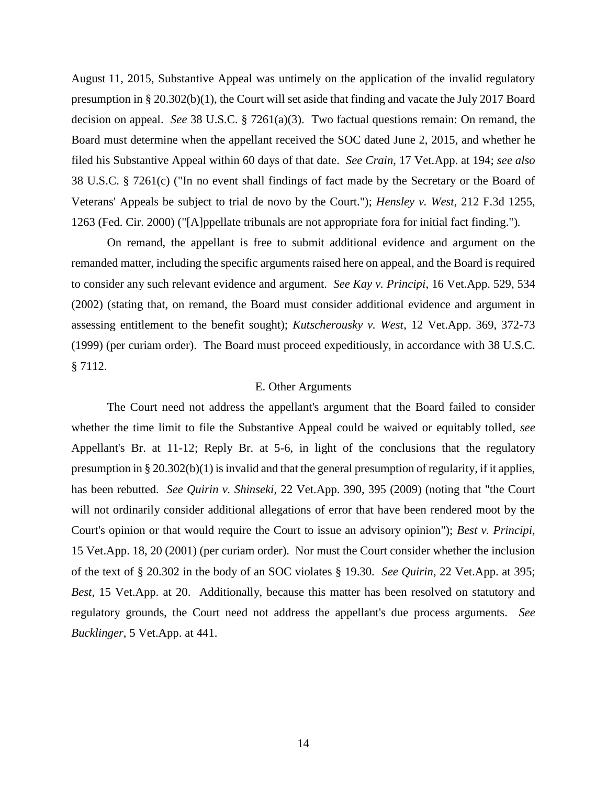August 11, 2015, Substantive Appeal was untimely on the application of the invalid regulatory presumption in § 20.302(b)(1), the Court will set aside that finding and vacate the July 2017 Board decision on appeal. *See* 38 U.S.C. § 7261(a)(3). Two factual questions remain: On remand, the Board must determine when the appellant received the SOC dated June 2, 2015, and whether he filed his Substantive Appeal within 60 days of that date. *See Crain*, 17 Vet.App. at 194; *see also*  38 U.S.C. § 7261(c) ("In no event shall findings of fact made by the Secretary or the Board of Veterans' Appeals be subject to trial de novo by the Court."); *Hensley v. West*, 212 F.3d 1255, 1263 (Fed. Cir. 2000) ("[A]ppellate tribunals are not appropriate fora for initial fact finding.")*.*

On remand, the appellant is free to submit additional evidence and argument on the remanded matter, including the specific arguments raised here on appeal, and the Board is required to consider any such relevant evidence and argument. *See Kay v. Principi*, 16 Vet.App. 529, 534 (2002) (stating that, on remand, the Board must consider additional evidence and argument in assessing entitlement to the benefit sought); *Kutscherousky v. West*, 12 Vet.App. 369, 372-73 (1999) (per curiam order). The Board must proceed expeditiously, in accordance with 38 U.S.C. § 7112.

### E. Other Arguments

The Court need not address the appellant's argument that the Board failed to consider whether the time limit to file the Substantive Appeal could be waived or equitably tolled, *see* Appellant's Br. at 11-12; Reply Br. at 5-6, in light of the conclusions that the regulatory presumption in § 20.302(b)(1) is invalid and that the general presumption of regularity, if it applies, has been rebutted. *See Quirin v. Shinseki*, 22 Vet.App. 390, 395 (2009) (noting that "the Court will not ordinarily consider additional allegations of error that have been rendered moot by the Court's opinion or that would require the Court to issue an advisory opinion"); *Best v. Principi*, 15 Vet.App. 18, 20 (2001) (per curiam order). Nor must the Court consider whether the inclusion of the text of § 20.302 in the body of an SOC violates § 19.30. *See Quirin*, 22 Vet.App. at 395; *Best*, 15 Vet.App. at 20. Additionally, because this matter has been resolved on statutory and regulatory grounds, the Court need not address the appellant's due process arguments. *See Bucklinger*, 5 Vet.App. at 441.